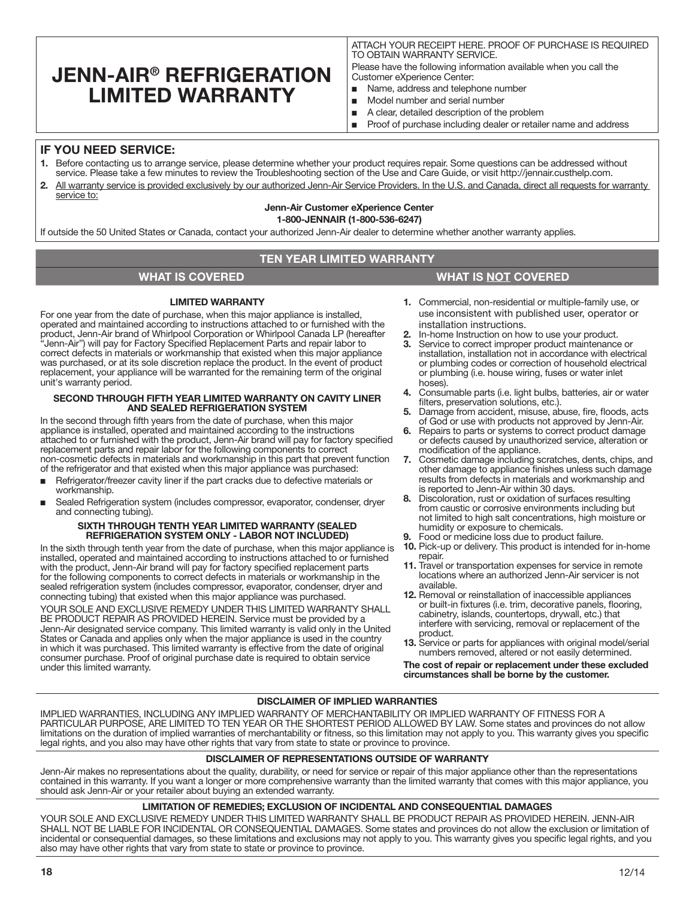# **JENN-AIR® REFRIGERATION LIMITED WARRANTY**

ATTACH YOUR RECEIPT HERE. PROOF OF PURCHASE IS REQUIRED TO OBTAIN WARRANTY SERVICE.

Please have the following information available when you call the Customer eXperience Center:

- Name, address and telephone number
- Model number and serial number
- A clear, detailed description of the problem
- Proof of purchase including dealer or retailer name and address

## **IF YOU NEED SERVICE:**

- 1. Before contacting us to arrange service, please determine whether your product requires repair. Some questions can be addressed without service. Please take a few minutes to review the Troubleshooting section of the Use and Care Guide, or visit http://jennair.custhelp.com.
- 2. All warranty service is provided exclusively by our authorized Jenn-Air Service Providers. In the U.S. and Canada, direct all requests for warranty service to:

# Jenn-Air Customer eXperience Center

1-800-JENNAIR (1-800-536-6247)

If outside the 50 United States or Canada, contact your authorized Jenn-Air dealer to determine whether another warranty applies.

## **TEN YEAR LIMITED WARRANTY**

## **WHAT IS COVERED WHAT IS NOT COVERED**

### LIMITED WARRANTY

For one year from the date of purchase, when this major appliance is installed, operated and maintained according to instructions attached to or furnished with the product, Jenn-Air brand of Whirlpool Corporation or Whirlpool Canada LP (hereafter "Jenn-Air") will pay for Factory Specified Replacement Parts and repair labor to correct defects in materials or workmanship that existed when this major appliance was purchased, or at its sole discretion replace the product. In the event of product replacement, your appliance will be warranted for the remaining term of the original unit's warranty period.

#### SECOND THROUGH FIFTH YEAR LIMITED WARRANTY ON CAVITY LINER AND SEALED REFRIGERATION SYSTEM

In the second through fifth years from the date of purchase, when this major appliance is installed, operated and maintained according to the instructions attached to or furnished with the product, Jenn-Air brand will pay for factory specified replacement parts and repair labor for the following components to correct non-cosmetic defects in materials and workmanship in this part that prevent function of the refrigerator and that existed when this major appliance was purchased:

- Refrigerator/freezer cavity liner if the part cracks due to defective materials or workmanship.
- Sealed Refrigeration system (includes compressor, evaporator, condenser, dryer and connecting tubing).

#### SIXTH THROUGH TENTH YEAR LIMITED WARRANTY (SEALED REFRIGERATION SYSTEM ONLY - LABOR NOT INCLUDED)

In the sixth through tenth year from the date of purchase, when this major appliance is installed, operated and maintained according to instructions attached to or furnished with the product, Jenn-Air brand will pay for factory specified replacement parts for the following components to correct defects in materials or workmanship in the sealed refrigeration system (includes compressor, evaporator, condenser, dryer and connecting tubing) that existed when this major appliance was purchased.

YOUR SOLE AND EXCLUSIVE REMEDY UNDER THIS LIMITED WARRANTY SHALL BE PRODUCT REPAIR AS PROVIDED HEREIN. Service must be provided by a Jenn-Air designated service company. This limited warranty is valid only in the United States or Canada and applies only when the major appliance is used in the country in which it was purchased. This limited warranty is effective from the date of original consumer purchase. Proof of original purchase date is required to obtain service under this limited warranty.

- 1. Commercial, non-residential or multiple-family use, or use inconsistent with published user, operator or installation instructions.
- 2. In-home Instruction on how to use your product.<br>3. Service to correct improper product maintenance
- Service to correct improper product maintenance or installation, installation not in accordance with electrical or plumbing codes or correction of household electrical or plumbing (i.e. house wiring, fuses or water inlet hoses).
- 4. Consumable parts (i.e. light bulbs, batteries, air or water filters, preservation solutions, etc.).
- 5. Damage from accident, misuse, abuse, fire, floods, acts of God or use with products not approved by Jenn-Air.
- 6. Repairs to parts or systems to correct product damage or defects caused by unauthorized service, alteration or modification of the appliance.
- 7. Cosmetic damage including scratches, dents, chips, and other damage to appliance finishes unless such damage results from defects in materials and workmanship and is reported to Jenn-Air within 30 days.
- 8. Discoloration, rust or oxidation of surfaces resulting from caustic or corrosive environments including but not limited to high salt concentrations, high moisture or humidity or exposure to chemicals.
- Food or medicine loss due to product failure.
- 10. Pick-up or delivery. This product is intended for in-home repair.
- 11. Travel or transportation expenses for service in remote locations where an authorized Jenn-Air servicer is not available.
- 12. Removal or reinstallation of inaccessible appliances or built-in fixtures (i.e. trim, decorative panels, flooring, cabinetry, islands, countertops, drywall, etc.) that interfere with servicing, removal or replacement of the product.
- 13. Service or parts for appliances with original model/serial numbers removed, altered or not easily determined.

The cost of repair or replacement under these excluded circumstances shall be borne by the customer.

### DISCLAIMER OF IMPLIED WARRANTIES

IMPLIED WARRANTIES, INCLUDING ANY IMPLIED WARRANTY OF MERCHANTABILITY OR IMPLIED WARRANTY OF FITNESS FOR A PARTICULAR PURPOSE, ARE LIMITED TO TEN YEAR OR THE SHORTEST PERIOD ALLOWED BY LAW. Some states and provinces do not allow limitations on the duration of implied warranties of merchantability or fitness, so this limitation may not apply to you. This warranty gives you specific legal rights, and you also may have other rights that vary from state to state or province to province.

#### DISCLAIMER OF REPRESENTATIONS OUTSIDE OF WARRANTY

Jenn-Air makes no representations about the quality, durability, or need for service or repair of this major appliance other than the representations contained in this warranty. If you want a longer or more comprehensive warranty than the limited warranty that comes with this major appliance, you should ask Jenn-Air or your retailer about buying an extended warranty.

### LIMITATION OF REMEDIES; EXCLUSION OF INCIDENTAL AND CONSEQUENTIAL DAMAGES

YOUR SOLE AND EXCLUSIVE REMEDY UNDER THIS LIMITED WARRANTY SHALL BE PRODUCT REPAIR AS PROVIDED HEREIN. JENN-AIR SHALL NOT BE LIABLE FOR INCIDENTAL OR CONSEQUENTIAL DAMAGES. Some states and provinces do not allow the exclusion or limitation of incidental or consequential damages, so these limitations and exclusions may not apply to you. This warranty gives you specific legal rights, and you also may have other rights that vary from state to state or province to province.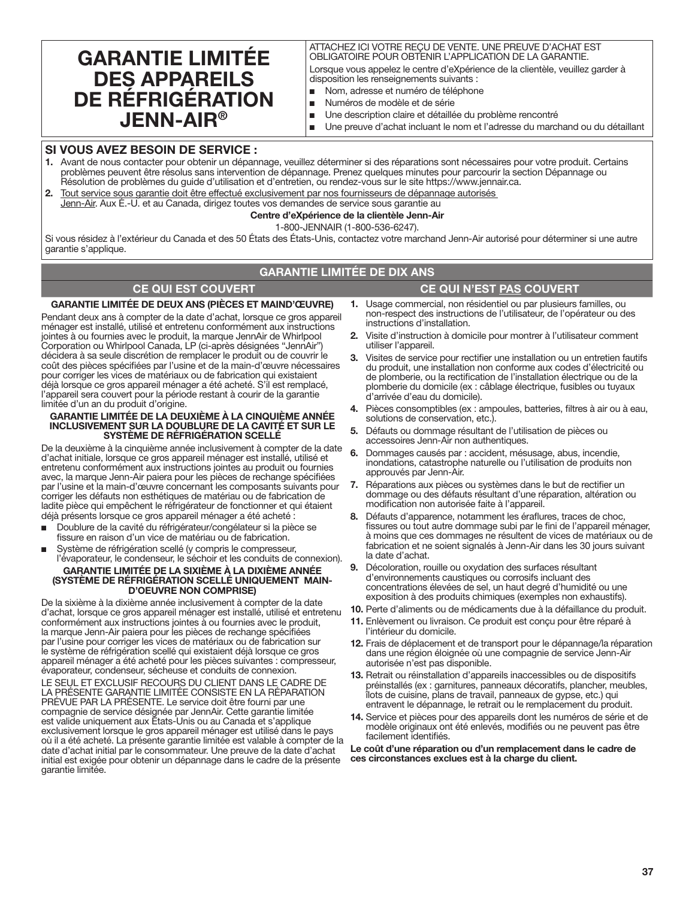# **GARANTIE LIMITÉE DES APPAREILS DE RÉFRIGÉRATION JENN-AIR®**

ATTACHEZ ICI VOTRE REÇU DE VENTE. UNE PREUVE D'ACHAT EST OBLIGATOIRE POUR OBTENIR L'APPLICATION DE LA GARANTIE.

Lorsque vous appelez le centre d'eXpérience de la clientèle, veuillez garder à disposition les renseignements suivants :

- Nom, adresse et numéro de téléphone
- Numéros de modèle et de série
- Une description claire et détaillée du problème rencontré
- Une preuve d'achat incluant le nom et l'adresse du marchand ou du détaillant

## **SI VOUS AVEZ BESOIN DE SERVICE :**

- 1. Avant de nous contacter pour obtenir un dépannage, veuillez déterminer si des réparations sont nécessaires pour votre produit. Certains problèmes peuvent être résolus sans intervention de dépannage. Prenez quelques minutes pour parcourir la section Dépannage ou Résolution de problèmes du guide d'utilisation et d'entretien, ou rendez-vous sur le site https://www.jennair.ca.
- 2. Tout service sous garantie doit être effectué exclusivement par nos fournisseurs de dépannage autorisés Jenn-Air. Aux É.-U. et au Canada, dirigez toutes vos demandes de service sous garantie au

## **Centre d'eXpérience de la clientèle Jenn-Air**

1-800-JENNAIR (1-800-536-6247).

Si vous résidez à l'extérieur du Canada et des 50 États des États-Unis, contactez votre marchand Jenn-Air autorisé pour déterminer si une autre garantie s'applique.

## **GARANTIE LIMITÉE DE DIX ANS**

## **CE QUI EST COUVERT CE QUI N'EST PAS COUVERT**

### **GARANTIE LIMITÉE DE DEUX ANS (PIÈCES ET MAIND'ŒUVRE)**

Pendant deux ans à compter de la date d'achat, lorsque ce gros appareil ménager est installé, utilisé et entretenu conformément aux instructions jointes à ou fournies avec le produit, la marque JennAir de Whirlpool Corporation ou Whirlpool Canada, LP (ci-après désignées "JennAir") décidera à sa seule discrétion de remplacer le produit ou de couvrir le coût des pièces spécifiées par l'usine et de la main-d'œuvre nécessaires pour corriger les vices de matériaux ou de fabrication qui existaient déjà lorsque ce gros appareil ménager a été acheté. S'il est remplacé, l'appareil sera couvert pour la période restant à courir de la garantie limitée d'un an du produit d'origine.

#### **GARANTIE LIMITÉE DE LA DEUXIÈME À LA CINQUIÈME ANNÉE INCLUSIVEMENT SUR LA DOUBLURE DE LA CAVITÉ ET SUR LE SYSTÈME DE RÉFRIGÉRATION SCELLÉ**

De la deuxième à la cinquième année inclusivement à compter de la date d'achat initiale, lorsque ce gros appareil ménager est installé, utilisé et entretenu conformément aux instructions jointes au produit ou fournies avec, la marque Jenn-Air paiera pour les pièces de rechange spécifiées par l'usine et la main-d'œuvre concernant les composants suivants pour corriger les défauts non esthétiques de matériau ou de fabrication de ladite pièce qui empêchent le réfrigérateur de fonctionner et qui étaient déjà présents lorsque ce gros appareil ménager a été acheté :

- Doublure de la cavité du réfrigérateur/congélateur si la pièce se fissure en raison d'un vice de matériau ou de fabrication.
- Système de réfrigération scellé (y compris le compresseur, l'évaporateur, le condenseur, le séchoir et les conduits de connexion).

# **GARANTIE LIMITÉE DE LA SIXIÈME À LA DIXIÈME ANNÉE (SYSTÈME DE RÉFRIGÉRATION SCELLÉ UNIQUEMENT MAIN- D'OEUVRE NON COMPRISE)**

De la sixième à la dixième année inclusivement à compter de la date d'achat, lorsque ce gros appareil ménager est installé, utilisé et entretenu conformément aux instructions jointes à ou fournies avec le produit, la marque Jenn-Air paiera pour les pièces de rechange spécifiées par l'usine pour corriger les vices de matériaux ou de fabrication sur le système de réfrigération scellé qui existaient déjà lorsque ce gros appareil ménager a été acheté pour les pièces suivantes : compresseur, évaporateur, condenseur, sécheuse et conduits de connexion.

LE SEUL ET EXCLUSIF RECOURS DU CLIENT DANS LE CADRE DE LA PRÉSENTE GARANTIE LIMITÉE CONSISTE EN LA RÉPARATION PRÉVUE PAR LA PRÉSENTE. Le service doit être fourni par une compagnie de service désignée par JennAir. Cette garantie limitée est valide uniquement aux États-Unis ou au Canada et s'applique exclusivement lorsque le gros appareil ménager est utilisé dans le pays où il a été acheté. La présente garantie limitée est valable à compter de la date d'achat initial par le consommateur. Une preuve de la date d'achat initial est exigée pour obtenir un dépannage dans le cadre de la présente garantie limitée.

- 1. Usage commercial, non résidentiel ou par plusieurs familles, ou non-respect des instructions de l'utilisateur, de l'opérateur ou des instructions d'installation.
- 2. Visite d'instruction à domicile pour montrer à l'utilisateur comment utiliser l'appareil.
- 3. Visites de service pour rectifier une installation ou un entretien fautifs du produit, une installation non conforme aux codes d'électricité ou de plomberie, ou la rectification de l'installation électrique ou de la plomberie du domicile (ex : câblage électrique, fusibles ou tuyaux d'arrivée d'eau du domicile).
- 4. Pièces consomptibles (ex : ampoules, batteries, filtres à air ou à eau, solutions de conservation, etc.)
- 5. Défauts ou dommage résultant de l'utilisation de pièces ou accessoires Jenn-Air non authentiques.
- 6. Dommages causés par : accident, mésusage, abus, incendie, inondations, catastrophe naturelle ou l'utilisation de produits non approuvés par Jenn-Air.
- 7. Réparations aux pièces ou systèmes dans le but de rectifier un dommage ou des défauts résultant d'une réparation, altération ou modification non autorisée faite à l'appareil.
- 8. Défauts d'apparence, notamment les éraflures, traces de choc, fissures ou tout autre dommage subi par le fini de l'appareil ménager, à moins que ces dommages ne résultent de vices de matériaux ou de fabrication et ne soient signalés à Jenn-Air dans les 30 jours suivant la date d'achat.
- 9. Décoloration, rouille ou oxydation des surfaces résultant d'environnements caustiques ou corrosifs incluant des concentrations élevées de sel, un haut degré d'humidité ou une exposition à des produits chimiques (exemples non exhaustifs).
- 10. Perte d'aliments ou de médicaments due à la défaillance du produit.
- 11. Enlèvement ou livraison. Ce produit est conçu pour être réparé à l'intérieur du domicile.
- 12. Frais de déplacement et de transport pour le dépannage/la réparation dans une région éloignée où une compagnie de service Jenn-Air autorisée n'est pas disponible.
- 13. Retrait ou réinstallation d'appareils inaccessibles ou de dispositifs préinstallés (ex : garnitures, panneaux décoratifs, plancher, meubles, îlots de cuisine, plans de travail, panneaux de gypse, etc.) qui entravent le dépannage, le retrait ou le remplacement du produit.
- 14. Service et pièces pour des appareils dont les numéros de série et de modèle originaux ont été enlevés, modifiés ou ne peuvent pas être facilement identifiés.

**Le coût d'une réparation ou d'un remplacement dans le cadre de ces circonstances exclues est à la charge du client.**